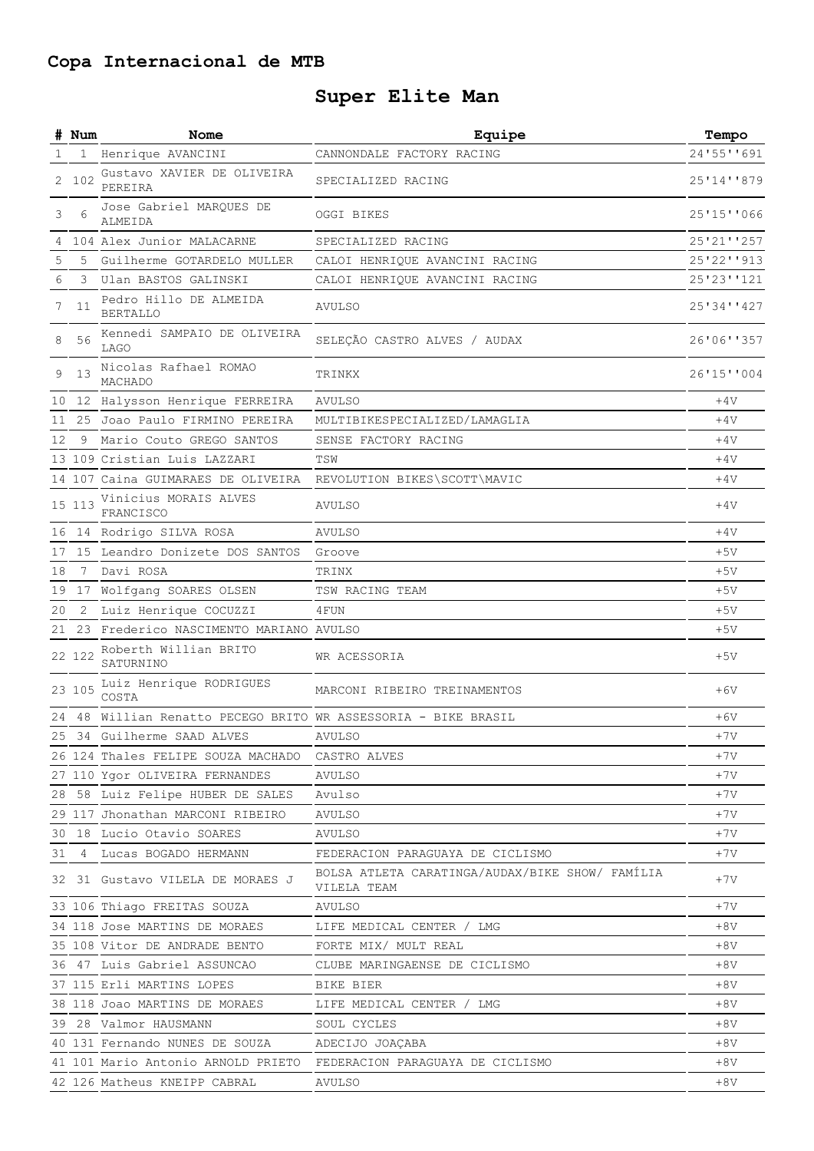## **Copa Internacional de MTB**

## **Super Elite Man**

|    | # Num        | Nome                                                           | Equipe                                                         | Tempo      |
|----|--------------|----------------------------------------------------------------|----------------------------------------------------------------|------------|
| 1. | $\mathbf{1}$ | Henrique AVANCINI                                              | CANNONDALE FACTORY RACING                                      | 24'55''691 |
| 2  | 102          | Gustavo XAVIER DE OLIVEIRA<br>PEREIRA                          | SPECIALIZED RACING                                             | 25'14''879 |
| 3  | 6            | Jose Gabriel MARQUES DE<br>ALMEIDA                             | OGGI BIKES                                                     | 25'15''066 |
| 4  |              | 104 Alex Junior MALACARNE                                      | SPECIALIZED RACING                                             | 25'21''257 |
| 5  | 5            | Guilherme GOTARDELO MULLER                                     | CALOI HENRIQUE AVANCINI RACING                                 | 25'22''913 |
| 6  | 3            | Ulan BASTOS GALINSKI                                           | CALOI HENRIQUE AVANCINI RACING                                 | 25'23''121 |
| 7  | 11           | Pedro Hillo DE ALMEIDA<br><b>BERTALLO</b>                      | <b>AVULSO</b>                                                  | 25'34''427 |
|    | 56           | Kennedi SAMPAIO DE OLIVEIRA<br><b>LAGO</b>                     | SELEÇÃO CASTRO ALVES / AUDAX                                   | 26'06''357 |
| 9  | 13           | Nicolas Rafhael ROMAO<br>MACHADO                               | TRINKX                                                         | 26'15''004 |
| 10 |              | 12 Halysson Henrique FERREIRA                                  | AVULSO                                                         | $+4V$      |
| 11 |              | 25 Joao Paulo FIRMINO PEREIRA                                  | MULTIBIKESPECIALIZED/LAMAGLIA                                  | $+4V$      |
| 12 | 9            | Mario Couto GREGO SANTOS                                       | SENSE FACTORY RACING                                           | $+4V$      |
|    |              | 13 109 Cristian Luis LAZZARI                                   | TSW                                                            | $+4V$      |
|    |              | 14 107 Caina GUIMARAES DE OLIVEIRA                             | REVOLUTION BIKES\SCOTT\MAVIC                                   | $+4V$      |
|    | 15 113       | Vinicius MORAIS ALVES<br>FRANCISCO                             | AVULSO                                                         | $+4V$      |
| 16 |              | 14 Rodrigo SILVA ROSA                                          | <b>AVULSO</b>                                                  | $+4V$      |
| 17 |              | 15 Leandro Donizete DOS SANTOS                                 | Groove                                                         | $+5V$      |
| 18 | 7            | Davi ROSA                                                      | TRINX                                                          | $+5V$      |
| 19 | 17           | Wolfgang SOARES OLSEN                                          | TSW RACING TEAM                                                | $+5V$      |
| 20 | $\mathbf{2}$ | Luiz Henrique COCUZZI                                          | 4 FUN                                                          | $+5V$      |
| 21 |              | 23 Frederico NASCIMENTO MARIANO AVULSO                         |                                                                | $+5V$      |
|    | 22 122       | Roberth Willian BRITO<br>SATURNINO                             | WR ACESSORIA                                                   | $+5V$      |
|    | 23 105       | Luiz Henrique RODRIGUES<br>COSTA                               | MARCONI RIBEIRO TREINAMENTOS                                   | $+6V$      |
|    |              | 24 48 Willian Renatto PECEGO BRITO WR ASSESSORIA - BIKE BRASIL |                                                                | $+6V$      |
|    |              | 25 34 Guilherme SAAD ALVES                                     | AVULSO                                                         | $+7V$      |
|    |              | 26 124 Thales FELIPE SOUZA MACHADO                             | CASTRO ALVES                                                   | +7V        |
|    |              | 27 110 Ygor OLIVEIRA FERNANDES                                 | AVULSO                                                         | $+7V$      |
|    |              | 28 58 Luiz Felipe HUBER DE SALES                               | Avulso                                                         | $+7V$      |
|    |              | 29 117 Jhonathan MARCONI RIBEIRO                               | AVULSO                                                         | $+7V$      |
|    |              | 30 18 Lucio Otavio SOARES                                      | AVULSO                                                         | $+7V$      |
|    |              | 31 4 Lucas BOGADO HERMANN                                      | FEDERACION PARAGUAYA DE CICLISMO                               | $+7V$      |
|    |              | 32 31 Gustavo VILELA DE MORAES J                               | BOLSA ATLETA CARATINGA/AUDAX/BIKE SHOW/ FAMILIA<br>VILELA TEAM | $+7V$      |
|    |              | 33 106 Thiago FREITAS SOUZA                                    | AVULSO                                                         | $+7V$      |
|    |              | 34 118 Jose MARTINS DE MORAES                                  | LIFE MEDICAL CENTER / LMG                                      | $+8V$      |
|    |              | 35 108 Vitor DE ANDRADE BENTO                                  | FORTE MIX/ MULT REAL                                           | $+8V$      |
|    |              | 36 47 Luis Gabriel ASSUNCAO                                    | CLUBE MARINGAENSE DE CICLISMO                                  | $+8V$      |
|    |              | 37 115 Erli MARTINS LOPES                                      | BIKE BIER                                                      | $+8V$      |
|    |              | 38 118 Joao MARTINS DE MORAES                                  | LIFE MEDICAL CENTER / LMG                                      | $+8V$      |
|    |              | 39 28 Valmor HAUSMANN                                          | SOUL CYCLES                                                    | $+8V$      |
|    |              | 40 131 Fernando NUNES DE SOUZA                                 | ADECIJO JOAÇABA                                                | $+8V$      |
|    |              | 41 101 Mario Antonio ARNOLD PRIETO                             | FEDERACION PARAGUAYA DE CICLISMO                               | $+8V$      |
|    |              | 42 126 Matheus KNEIPP CABRAL                                   | AVULSO                                                         | $+8V$      |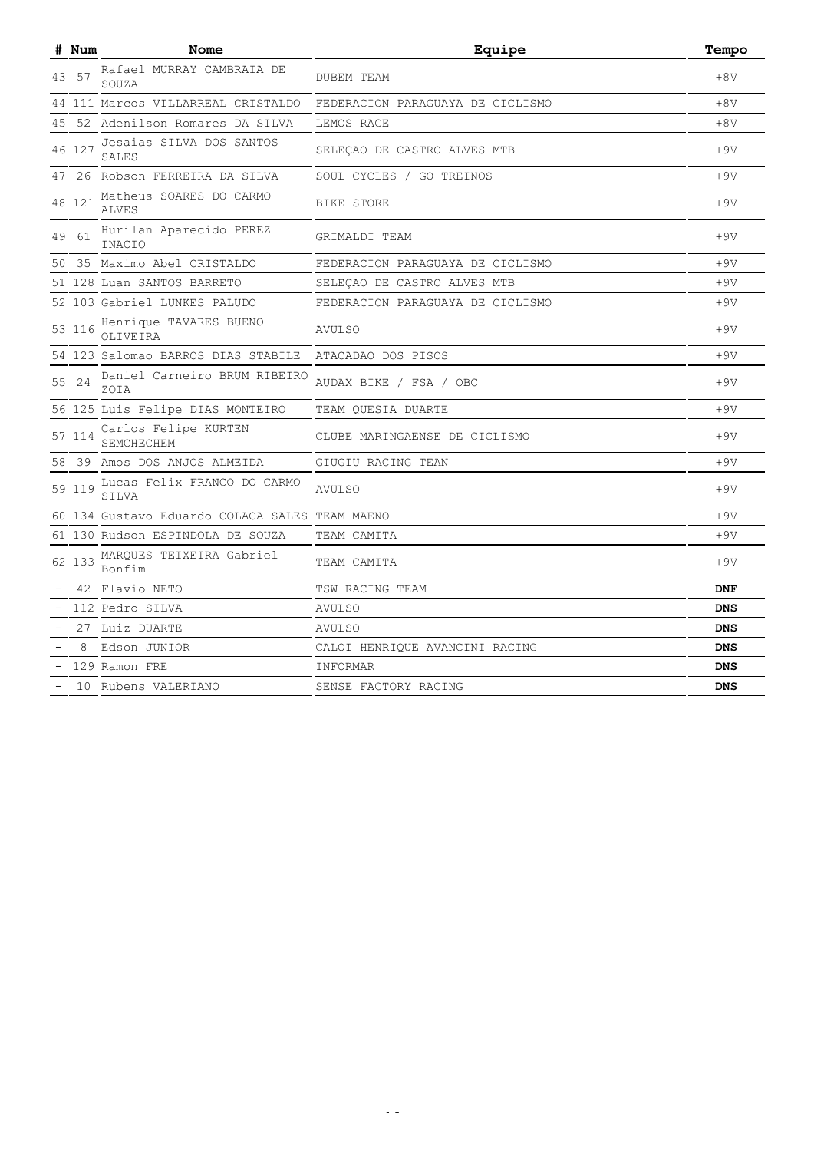|    | # Num  | Nome                                    | Equipe                           | Tempo      |
|----|--------|-----------------------------------------|----------------------------------|------------|
|    | 57     | Rafael MURRAY CAMBRAIA DE<br>SOUZA      | <b>DUBEM TEAM</b>                | $+8V$      |
| 44 |        | 111 Marcos VILLARREAL CRISTALDO         | FEDERACION PARAGUAYA DE CICLISMO | $+8V$      |
| 45 |        | 52 Adenilson Romares DA SILVA           | LEMOS RACE                       | $+8V$      |
|    | 46 127 | Jesaias SILVA DOS SANTOS<br>SALES       | SELEÇAO DE CASTRO ALVES MTB      | $+9V$      |
| 47 |        | 26 Robson FERREIRA DA SILVA             | SOUL CYCLES / GO TREINOS         | $+9V$      |
|    | 48 121 | Matheus SOARES DO CARMO<br><b>ALVES</b> | BIKE STORE                       | $+9V$      |
| 49 | 61     | Hurilan Aparecido PEREZ<br>INACIO       | GRIMALDI TEAM                    | $+9V$      |
| 50 |        | 35 Maximo Abel CRISTALDO                | FEDERACION PARAGUAYA DE CICLISMO | $+9V$      |
|    |        | 51 128 Luan SANTOS BARRETO              | SELEÇAO DE CASTRO ALVES MTB      | $+9V$      |
|    |        | 52 103 Gabriel LUNKES PALUDO            | FEDERACION PARAGUAYA DE CICLISMO | $+9V$      |
|    | 116    | Henrique TAVARES BUENO<br>OLIVEIRA      | AVULSO                           | $+9V$      |
|    |        | 54 123 Salomao BARROS DIAS STABILE      | ATACADAO DOS PISOS               | $+9V$      |
| 55 | 24     | Daniel Carneiro BRUM RIBEIRO<br>ZOIA    | AUDAX BIKE / FSA / OBC           | $+9V$      |
|    |        | 56 125 Luis Felipe DIAS MONTEIRO        | TEAM QUESIA DUARTE               | $+9V$      |
|    | 57 114 | Carlos Felipe KURTEN<br>SEMCHECHEM      | CLUBE MARINGAENSE DE CICLISMO    | $+9V$      |
| 58 |        | 39 Amos DOS ANJOS ALMEIDA               | GIUGIU RACING TEAN               | $+9V$      |
| 59 | 119    | Lucas Felix FRANCO DO CARMO<br>SILVA    | <b>AVULSO</b>                    | $+9V$      |
|    |        | 60 134 Gustavo Eduardo COLACA SALES     | TEAM MAENO                       | $+9V$      |
|    |        | 61 130 Rudson ESPINDOLA DE SOUZA        | TEAM CAMITA                      | $+9V$      |
|    | 62 133 | MARQUES TEIXEIRA Gabriel<br>Bonfim      | TEAM CAMITA                      | $+9V$      |
|    |        | 42 Flavio NETO                          | TSW RACING TEAM                  | <b>DNF</b> |
|    |        | 112 Pedro SILVA                         | <b>AVULSO</b>                    | <b>DNS</b> |
|    |        | 27 Luiz DUARTE                          | AVULSO                           | <b>DNS</b> |
|    | 8      | Edson JUNIOR                            | CALOI HENRIQUE AVANCINI RACING   | <b>DNS</b> |
|    |        | 129 Ramon FRE                           | INFORMAR                         | <b>DNS</b> |
|    |        | 10 Rubens VALERIANO                     | SENSE FACTORY RACING             | <b>DNS</b> |